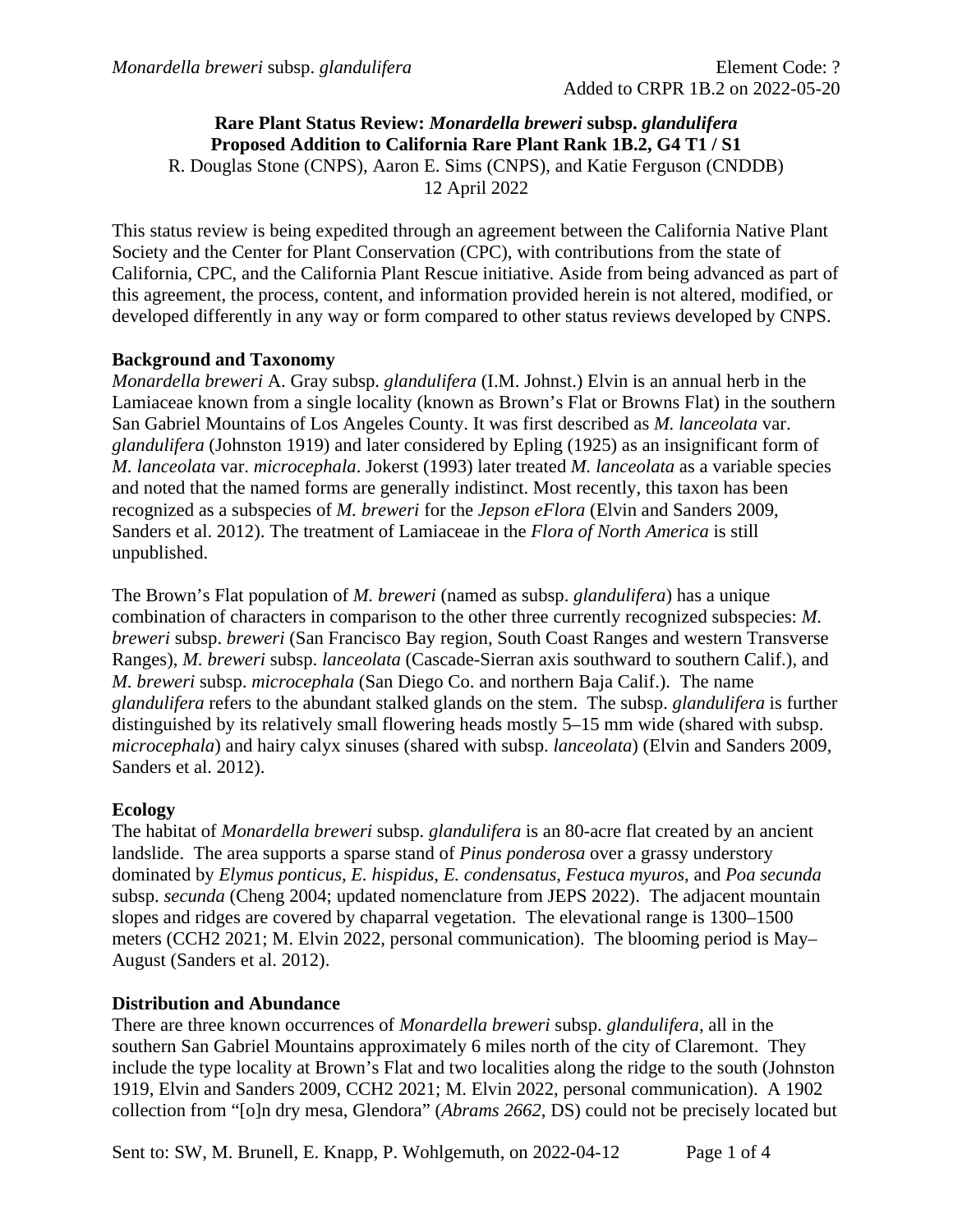### **Rare Plant Status Review:** *Monardella breweri* **subsp.** *glandulifera* **Proposed Addition to California Rare Plant Rank 1B.2, G4 T1 / S1** R. Douglas Stone (CNPS), Aaron E. Sims (CNPS), and Katie Ferguson (CNDDB) 12 April 2022

This status review is being expedited through an agreement between the California Native Plant Society and the Center for Plant Conservation (CPC), with contributions from the state of California, CPC, and the California Plant Rescue initiative. Aside from being advanced as part of this agreement, the process, content, and information provided herein is not altered, modified, or developed differently in any way or form compared to other status reviews developed by CNPS.

# **Background and Taxonomy**

*Monardella breweri* A. Gray subsp. *glandulifera* (I.M. Johnst.) Elvin is an annual herb in the Lamiaceae known from a single locality (known as Brown's Flat or Browns Flat) in the southern San Gabriel Mountains of Los Angeles County. It was first described as *M. lanceolata* var. *glandulifera* (Johnston 1919) and later considered by Epling (1925) as an insignificant form of *M. lanceolata* var. *microcephala*. Jokerst (1993) later treated *M. lanceolata* as a variable species and noted that the named forms are generally indistinct. Most recently, this taxon has been recognized as a subspecies of *M. breweri* for the *Jepson eFlora* (Elvin and Sanders 2009, Sanders et al. 2012). The treatment of Lamiaceae in the *Flora of North America* is still unpublished.

The Brown's Flat population of *M. breweri* (named as subsp. *glandulifera*) has a unique combination of characters in comparison to the other three currently recognized subspecies: *M. breweri* subsp. *breweri* (San Francisco Bay region, South Coast Ranges and western Transverse Ranges), *M. breweri* subsp. *lanceolata* (Cascade-Sierran axis southward to southern Calif.), and *M. breweri* subsp. *microcephala* (San Diego Co. and northern Baja Calif.). The name *glandulifera* refers to the abundant stalked glands on the stem. The subsp. *glandulifera* is further distinguished by its relatively small flowering heads mostly 5–15 mm wide (shared with subsp. *microcephala*) and hairy calyx sinuses (shared with subsp. *lanceolata*) (Elvin and Sanders 2009, Sanders et al. 2012).

# **Ecology**

The habitat of *Monardella breweri* subsp. *glandulifera* is an 80-acre flat created by an ancient landslide. The area supports a sparse stand of *Pinus ponderosa* over a grassy understory dominated by *Elymus ponticus*, *E. hispidus*, *E. condensatus*, *Festuca myuros*, and *Poa secunda* subsp. *secunda* (Cheng 2004; updated nomenclature from JEPS 2022). The adjacent mountain slopes and ridges are covered by chaparral vegetation. The elevational range is 1300–1500 meters (CCH2 2021; M. Elvin 2022, personal communication). The blooming period is May– August (Sanders et al. 2012).

# **Distribution and Abundance**

There are three known occurrences of *Monardella breweri* subsp. *glandulifera*, all in the southern San Gabriel Mountains approximately 6 miles north of the city of Claremont. They include the type locality at Brown's Flat and two localities along the ridge to the south (Johnston 1919, Elvin and Sanders 2009, CCH2 2021; M. Elvin 2022, personal communication). A 1902 collection from "[o]n dry mesa, Glendora" (*Abrams 2662*, DS) could not be precisely located but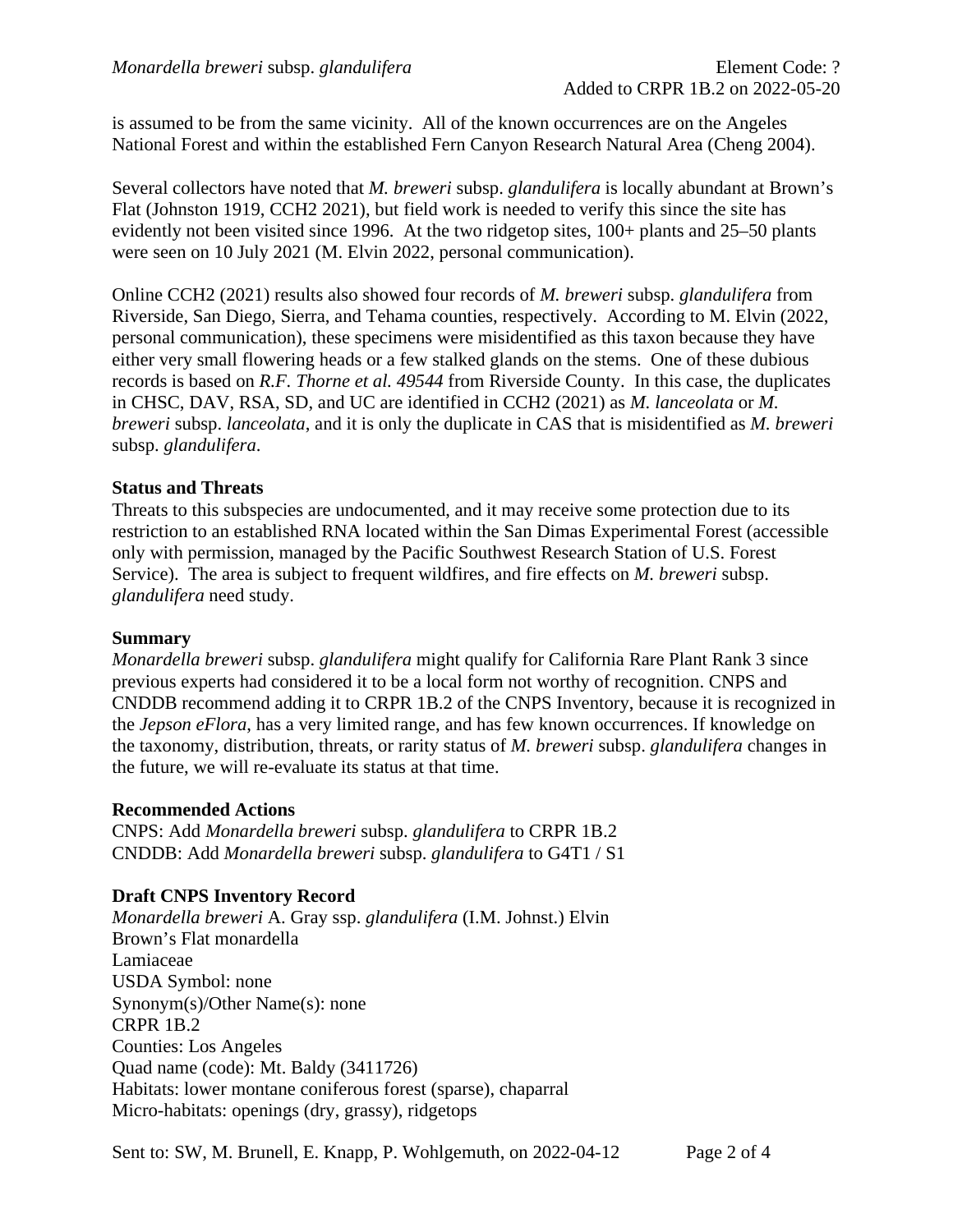is assumed to be from the same vicinity. All of the known occurrences are on the Angeles National Forest and within the established Fern Canyon Research Natural Area (Cheng 2004).

Several collectors have noted that *M. breweri* subsp. *glandulifera* is locally abundant at Brown's Flat (Johnston 1919, CCH2 2021), but field work is needed to verify this since the site has evidently not been visited since 1996. At the two ridgetop sites, 100+ plants and 25–50 plants were seen on 10 July 2021 (M. Elvin 2022, personal communication).

Online CCH2 (2021) results also showed four records of *M. breweri* subsp. *glandulifera* from Riverside, San Diego, Sierra, and Tehama counties, respectively. According to M. Elvin (2022, personal communication), these specimens were misidentified as this taxon because they have either very small flowering heads or a few stalked glands on the stems. One of these dubious records is based on *R.F. Thorne et al. 49544* from Riverside County. In this case, the duplicates in CHSC, DAV, RSA, SD, and UC are identified in CCH2 (2021) as *M. lanceolata* or *M. breweri* subsp. *lanceolata*, and it is only the duplicate in CAS that is misidentified as *M. breweri* subsp. *glandulifera*.

# **Status and Threats**

Threats to this subspecies are undocumented, and it may receive some protection due to its restriction to an established RNA located within the San Dimas Experimental Forest (accessible only with permission, managed by the Pacific Southwest Research Station of U.S. Forest Service). The area is subject to frequent wildfires, and fire effects on *M. breweri* subsp. *glandulifera* need study.

#### **Summary**

*Monardella breweri* subsp. *glandulifera* might qualify for California Rare Plant Rank 3 since previous experts had considered it to be a local form not worthy of recognition. CNPS and CNDDB recommend adding it to CRPR 1B.2 of the CNPS Inventory, because it is recognized in the *Jepson eFlora*, has a very limited range, and has few known occurrences. If knowledge on the taxonomy, distribution, threats, or rarity status of *M. breweri* subsp. *glandulifera* changes in the future, we will re-evaluate its status at that time.

#### **Recommended Actions**

CNPS: Add *Monardella breweri* subsp. *glandulifera* to CRPR 1B.2 CNDDB: Add *Monardella breweri* subsp. *glandulifera* to G4T1 / S1

# **Draft CNPS Inventory Record**

*Monardella breweri* A. Gray ssp. *glandulifera* (I.M. Johnst.) Elvin Brown's Flat monardella Lamiaceae USDA Symbol: none Synonym(s)/Other Name(s): none CRPR 1B.2 Counties: Los Angeles Quad name (code): Mt. Baldy (3411726) Habitats: lower montane coniferous forest (sparse), chaparral Micro-habitats: openings (dry, grassy), ridgetops

Sent to: SW, M. Brunell, E. Knapp, P. Wohlgemuth, on 2022-04-12 Page 2 of 4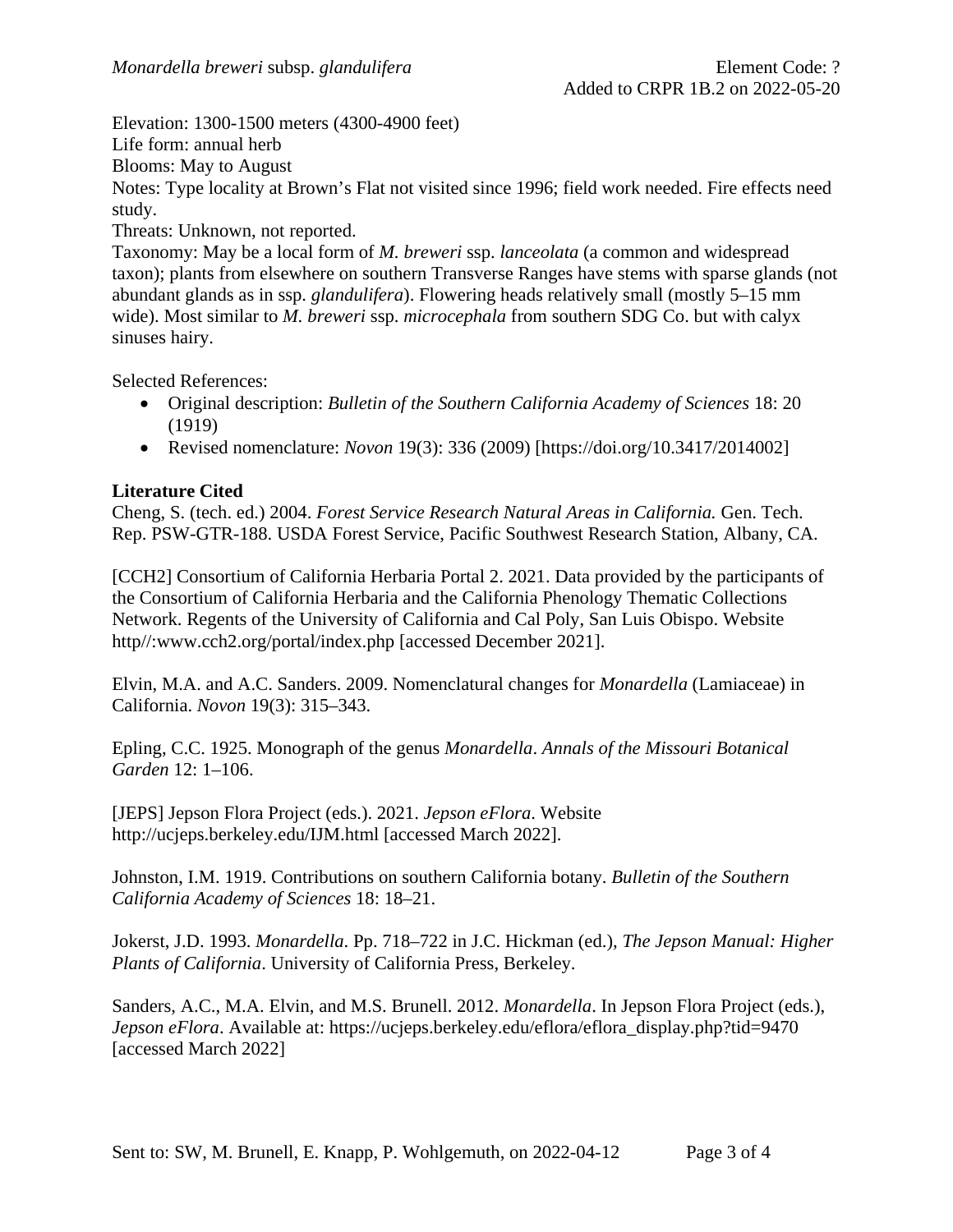Elevation: 1300-1500 meters (4300-4900 feet)

Life form: annual herb

Blooms: May to August

Notes: Type locality at Brown's Flat not visited since 1996; field work needed. Fire effects need study.

Threats: Unknown, not reported.

Taxonomy: May be a local form of *M. breweri* ssp. *lanceolata* (a common and widespread taxon); plants from elsewhere on southern Transverse Ranges have stems with sparse glands (not abundant glands as in ssp. *glandulifera*). Flowering heads relatively small (mostly 5–15 mm wide). Most similar to *M. breweri* ssp. *microcephala* from southern SDG Co. but with calyx sinuses hairy.

Selected References:

- Original description: *Bulletin of the Southern California Academy of Sciences* 18: 20 (1919)
- Revised nomenclature: *Novon* 19(3): 336 (2009) [https://doi.org/10.3417/2014002]

### **Literature Cited**

Cheng, S. (tech. ed.) 2004. *Forest Service Research Natural Areas in California.* Gen. Tech. Rep. PSW-GTR-188. USDA Forest Service, Pacific Southwest Research Station, Albany, CA.

[CCH2] Consortium of California Herbaria Portal 2. 2021. Data provided by the participants of the Consortium of California Herbaria and the California Phenology Thematic Collections Network. Regents of the University of California and Cal Poly, San Luis Obispo. Website http//:www.cch2.org/portal/index.php [accessed December 2021].

Elvin, M.A. and A.C. Sanders. 2009. Nomenclatural changes for *Monardella* (Lamiaceae) in California. *Novon* 19(3): 315–343.

Epling, C.C. 1925. Monograph of the genus *Monardella*. *Annals of the Missouri Botanical Garden* 12: 1–106.

[JEPS] Jepson Flora Project (eds.). 2021. *Jepson eFlora*. Website http://ucjeps.berkeley.edu/IJM.html [accessed March 2022].

Johnston, I.M. 1919. Contributions on southern California botany. *Bulletin of the Southern California Academy of Sciences* 18: 18–21.

Jokerst, J.D. 1993. *Monardella*. Pp. 718–722 in J.C. Hickman (ed.), *The Jepson Manual: Higher Plants of California*. University of California Press, Berkeley.

Sanders, A.C., M.A. Elvin, and M.S. Brunell. 2012. *Monardella*. In Jepson Flora Project (eds.), *Jepson eFlora*. Available at: https://ucjeps.berkeley.edu/eflora/eflora\_display.php?tid=9470 [accessed March 2022]